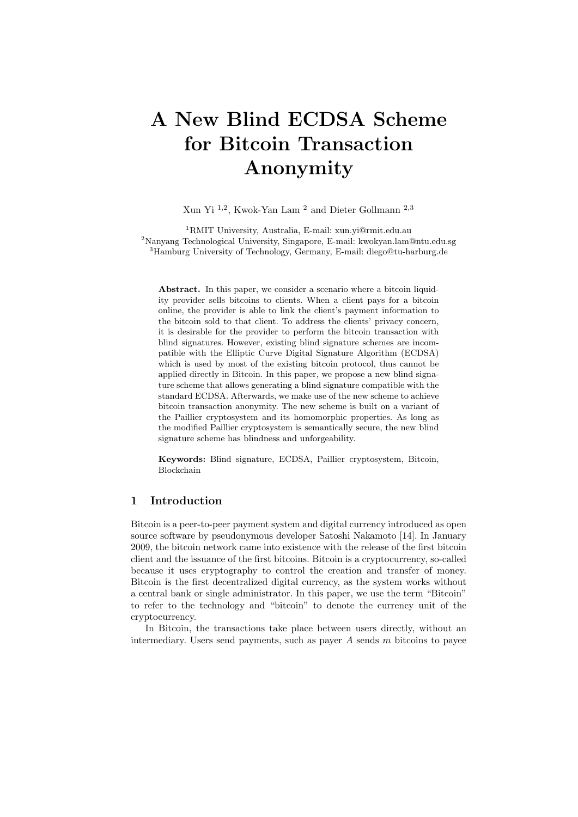# A New Blind ECDSA Scheme for Bitcoin Transaction Anonymity

Xun Yi <sup>1</sup>,<sup>2</sup> , Kwok-Yan Lam <sup>2</sup> and Dieter Gollmann <sup>2</sup>,<sup>3</sup>

<sup>1</sup>RMIT University, Australia, E-mail: xun.yi@rmit.edu.au <sup>2</sup>Nanyang Technological University, Singapore, E-mail: kwokyan.lam@ntu.edu.sg <sup>3</sup>Hamburg University of Technology, Germany, E-mail: diego@tu-harburg.de

Abstract. In this paper, we consider a scenario where a bitcoin liquidity provider sells bitcoins to clients. When a client pays for a bitcoin online, the provider is able to link the client's payment information to the bitcoin sold to that client. To address the clients' privacy concern, it is desirable for the provider to perform the bitcoin transaction with blind signatures. However, existing blind signature schemes are incompatible with the Elliptic Curve Digital Signature Algorithm (ECDSA) which is used by most of the existing bitcoin protocol, thus cannot be applied directly in Bitcoin. In this paper, we propose a new blind signature scheme that allows generating a blind signature compatible with the standard ECDSA. Afterwards, we make use of the new scheme to achieve bitcoin transaction anonymity. The new scheme is built on a variant of the Paillier cryptosystem and its homomorphic properties. As long as the modified Paillier cryptosystem is semantically secure, the new blind signature scheme has blindness and unforgeability.

Keywords: Blind signature, ECDSA, Paillier cryptosystem, Bitcoin, Blockchain

# 1 Introduction

Bitcoin is a peer-to-peer payment system and digital currency introduced as open source software by pseudonymous developer Satoshi Nakamoto [14]. In January 2009, the bitcoin network came into existence with the release of the first bitcoin client and the issuance of the first bitcoins. Bitcoin is a cryptocurrency, so-called because it uses cryptography to control the creation and transfer of money. Bitcoin is the first decentralized digital currency, as the system works without a central bank or single administrator. In this paper, we use the term "Bitcoin" to refer to the technology and "bitcoin" to denote the currency unit of the cryptocurrency.

In Bitcoin, the transactions take place between users directly, without an intermediary. Users send payments, such as payer  $A$  sends  $m$  bitcoins to payee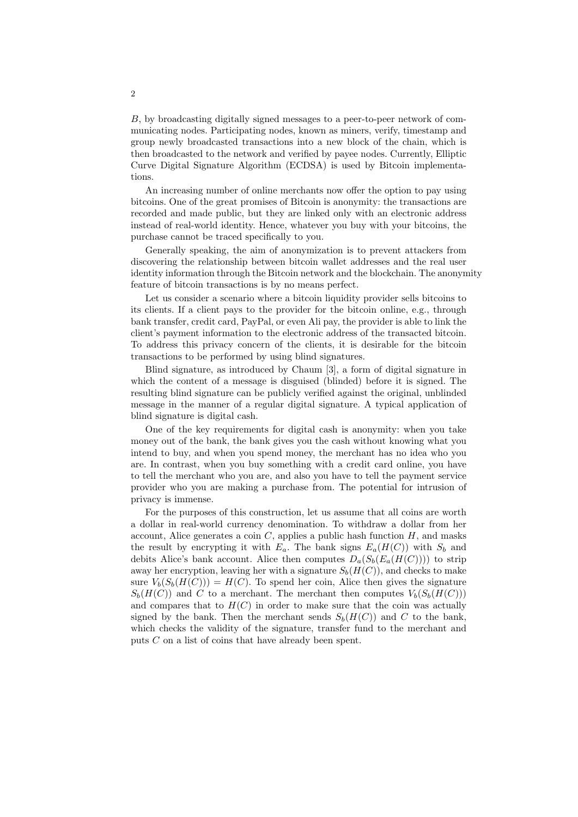B, by broadcasting digitally signed messages to a peer-to-peer network of communicating nodes. Participating nodes, known as miners, verify, timestamp and group newly broadcasted transactions into a new block of the chain, which is then broadcasted to the network and verified by payee nodes. Currently, Elliptic Curve Digital Signature Algorithm (ECDSA) is used by Bitcoin implementations.

An increasing number of online merchants now offer the option to pay using bitcoins. One of the great promises of Bitcoin is anonymity: the transactions are recorded and made public, but they are linked only with an electronic address instead of real-world identity. Hence, whatever you buy with your bitcoins, the purchase cannot be traced specifically to you.

Generally speaking, the aim of anonymization is to prevent attackers from discovering the relationship between bitcoin wallet addresses and the real user identity information through the Bitcoin network and the blockchain. The anonymity feature of bitcoin transactions is by no means perfect.

Let us consider a scenario where a bitcoin liquidity provider sells bitcoins to its clients. If a client pays to the provider for the bitcoin online, e.g., through bank transfer, credit card, PayPal, or even Ali pay, the provider is able to link the client's payment information to the electronic address of the transacted bitcoin. To address this privacy concern of the clients, it is desirable for the bitcoin transactions to be performed by using blind signatures.

Blind signature, as introduced by Chaum [3], a form of digital signature in which the content of a message is disguised (blinded) before it is signed. The resulting blind signature can be publicly verified against the original, unblinded message in the manner of a regular digital signature. A typical application of blind signature is digital cash.

One of the key requirements for digital cash is anonymity: when you take money out of the bank, the bank gives you the cash without knowing what you intend to buy, and when you spend money, the merchant has no idea who you are. In contrast, when you buy something with a credit card online, you have to tell the merchant who you are, and also you have to tell the payment service provider who you are making a purchase from. The potential for intrusion of privacy is immense.

For the purposes of this construction, let us assume that all coins are worth a dollar in real-world currency denomination. To withdraw a dollar from her account, Alice generates a coin  $C$ , applies a public hash function  $H$ , and masks the result by encrypting it with  $E_a$ . The bank signs  $E_a(H(C))$  with  $S_b$  and debits Alice's bank account. Alice then computes  $D_a(S_b(E_a(H(C))))$  to strip away her encryption, leaving her with a signature  $S_b(H(C))$ , and checks to make sure  $V_b(S_b(H(C))) = H(C)$ . To spend her coin, Alice then gives the signature  $S_b(H(C))$  and C to a merchant. The merchant then computes  $V_b(S_b(H(C)))$ and compares that to  $H(C)$  in order to make sure that the coin was actually signed by the bank. Then the merchant sends  $S_h(H(C))$  and C to the bank, which checks the validity of the signature, transfer fund to the merchant and puts C on a list of coins that have already been spent.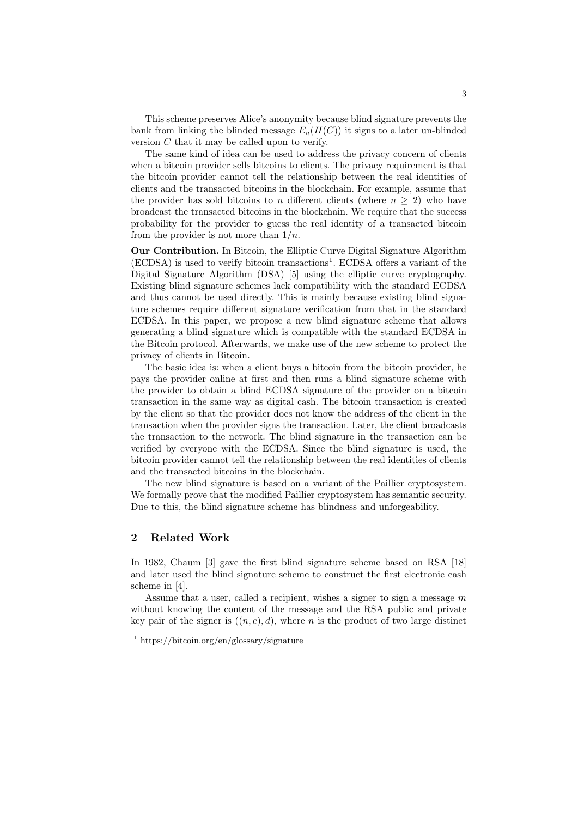This scheme preserves Alice's anonymity because blind signature prevents the bank from linking the blinded message  $E_a(H(C))$  it signs to a later un-blinded version  $C$  that it may be called upon to verify.

The same kind of idea can be used to address the privacy concern of clients when a bitcoin provider sells bitcoins to clients. The privacy requirement is that the bitcoin provider cannot tell the relationship between the real identities of clients and the transacted bitcoins in the blockchain. For example, assume that the provider has sold bitcoins to n different clients (where  $n \geq 2$ ) who have broadcast the transacted bitcoins in the blockchain. We require that the success probability for the provider to guess the real identity of a transacted bitcoin from the provider is not more than  $1/n$ .

Our Contribution. In Bitcoin, the Elliptic Curve Digital Signature Algorithm  $(ECDSA)$  is used to verify bitcoin transactions<sup>1</sup>. ECDSA offers a variant of the Digital Signature Algorithm (DSA) [5] using the elliptic curve cryptography. Existing blind signature schemes lack compatibility with the standard ECDSA and thus cannot be used directly. This is mainly because existing blind signature schemes require different signature verification from that in the standard ECDSA. In this paper, we propose a new blind signature scheme that allows generating a blind signature which is compatible with the standard ECDSA in the Bitcoin protocol. Afterwards, we make use of the new scheme to protect the privacy of clients in Bitcoin.

The basic idea is: when a client buys a bitcoin from the bitcoin provider, he pays the provider online at first and then runs a blind signature scheme with the provider to obtain a blind ECDSA signature of the provider on a bitcoin transaction in the same way as digital cash. The bitcoin transaction is created by the client so that the provider does not know the address of the client in the transaction when the provider signs the transaction. Later, the client broadcasts the transaction to the network. The blind signature in the transaction can be verified by everyone with the ECDSA. Since the blind signature is used, the bitcoin provider cannot tell the relationship between the real identities of clients and the transacted bitcoins in the blockchain.

The new blind signature is based on a variant of the Paillier cryptosystem. We formally prove that the modified Paillier cryptosystem has semantic security. Due to this, the blind signature scheme has blindness and unforgeability.

### 2 Related Work

In 1982, Chaum [3] gave the first blind signature scheme based on RSA [18] and later used the blind signature scheme to construct the first electronic cash scheme in [4].

Assume that a user, called a recipient, wishes a signer to sign a message  $m$ without knowing the content of the message and the RSA public and private key pair of the signer is  $((n, e), d)$ , where n is the product of two large distinct

<sup>&</sup>lt;sup>1</sup> https://bitcoin.org/en/glossary/signature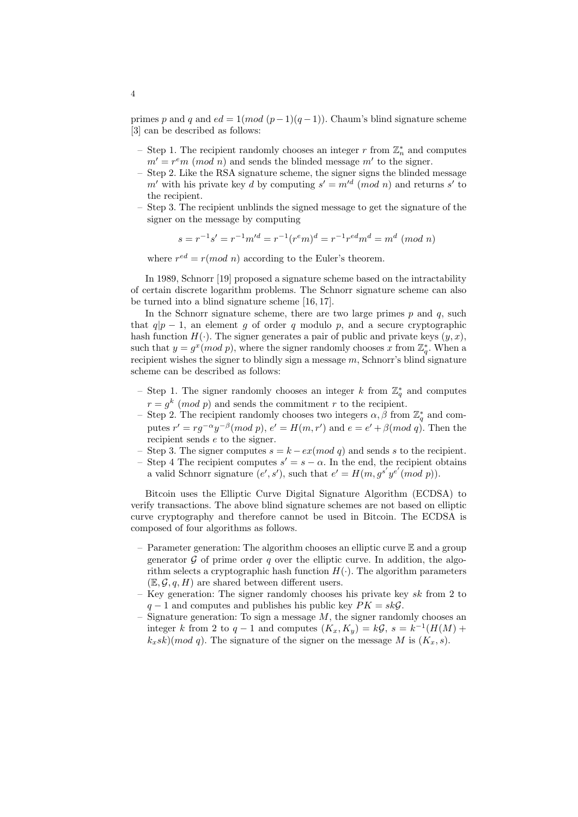primes p and q and  $ed = 1(mod (p-1)(q-1))$ . Chaum's blind signature scheme [3] can be described as follows:

- Step 1. The recipient randomly chooses an integer  $r$  from  $\mathbb{Z}_n^*$  and computes  $m' = r<sup>e</sup>m \pmod{n}$  and sends the blinded message m' to the signer.
- Step 2. Like the RSA signature scheme, the signer signs the blinded message  $m'$  with his private key d by computing  $s' = m'^d \pmod{n}$  and returns s' to the recipient.
- Step 3. The recipient unblinds the signed message to get the signature of the signer on the message by computing

$$
s = r^{-1}s' = r^{-1}m'^d = r^{-1}(r^em)^d = r^{-1}r^{ed}m^d = m^d \pmod{n}
$$

where  $r^{ed} = r (mod n)$  according to the Euler's theorem.

In 1989, Schnorr [19] proposed a signature scheme based on the intractability of certain discrete logarithm problems. The Schnorr signature scheme can also be turned into a blind signature scheme [16, 17].

In the Schnorr signature scheme, there are two large primes  $p$  and  $q$ , such that  $q|p-1$ , an element g of order q modulo p, and a secure cryptographic hash function  $H(\cdot)$ . The signer generates a pair of public and private keys  $(y, x)$ , such that  $y = g^x (mod\ p)$ , where the signer randomly chooses x from  $\mathbb{Z}_q^*$ . When a recipient wishes the signer to blindly sign a message  $m$ , Schnorr's blind signature scheme can be described as follows:

- Step 1. The signer randomly chooses an integer k from  $\mathbb{Z}_q^*$  and computes  $r = g^k \pmod{p}$  and sends the commitment r to the recipient.
- Step 2. The recipient randomly chooses two integers  $\alpha, \beta$  from  $\mathbb{Z}_q^*$  and computes  $r' = rg^{-\alpha}y^{-\beta}(mod\ p)$ ,  $e' = H(m, r')$  and  $e = e' + \beta(mod\ q)$ . Then the recipient sends e to the signer.
- Step 3. The signer computes  $s = k ex(mod q)$  and sends s to the recipient.
- Step 4 The recipient computes  $s' = s \alpha$ . In the end, the recipient obtains a valid Schnorr signature  $(e', s')$ , such that  $e' = H(m, g^{s'} y^{e'} (mod p)).$

Bitcoin uses the Elliptic Curve Digital Signature Algorithm (ECDSA) to verify transactions. The above blind signature schemes are not based on elliptic curve cryptography and therefore cannot be used in Bitcoin. The ECDSA is composed of four algorithms as follows.

- $-$  Parameter generation: The algorithm chooses an elliptic curve  $\mathbb E$  and a group generator  $\mathcal G$  of prime order  $q$  over the elliptic curve. In addition, the algorithm selects a cryptographic hash function  $H(\cdot)$ . The algorithm parameters  $(E, G, a, H)$  are shared between different users.
- Key generation: The signer randomly chooses his private key  $sk$  from 2 to  $q-1$  and computes and publishes his public key  $PK = sk\mathcal{G}$ .
- Signature generation: To sign a message  $M$ , the signer randomly chooses an integer k from 2 to  $q-1$  and computes  $(K_x, K_y) = k\mathcal{G}, s = k^{-1}(H(M))$  $(k_x s k)(mod q)$ . The signature of the signer on the message M is  $(K_x, s)$ .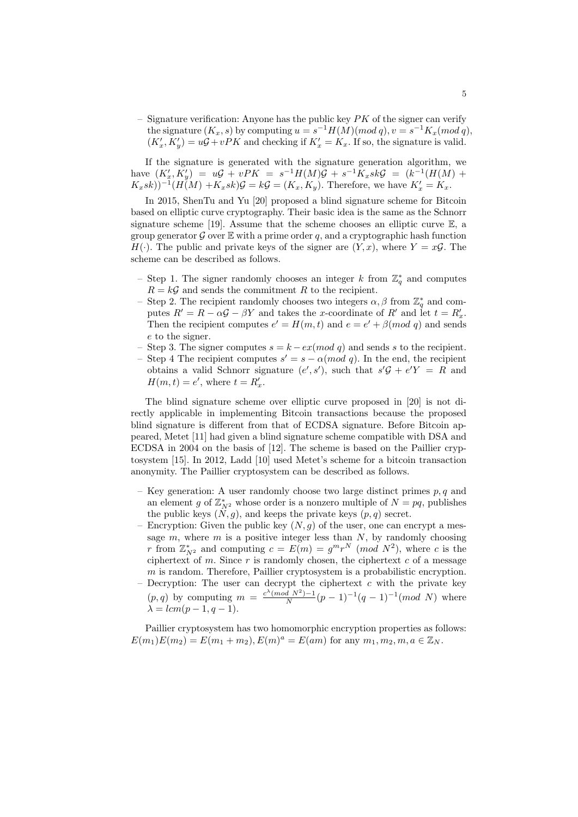Signature verification: Anyone has the public key  $PK$  of the signer can verify the signature  $(K_x, s)$  by computing  $u = s^{-1}H(M)(mod\ q), v = s^{-1}K_x(mod\ q),$  $(K'_x, K'_y) = u\mathcal{G} + vPK$  and checking if  $K'_x = K_x$ . If so, the signature is valid.

If the signature is generated with the signature generation algorithm, we have  $(K'_x, K'_y) = u\mathcal{G} + vPK = s^{-1}H(M)\mathcal{G} + s^{-1}K_x sk\mathcal{G} = (k^{-1}(H(M) +$  $(K_x s k))^{-1}(H(M) + K_x s k)$  $\mathcal{G} = k\mathcal{G} = (K_x, K_y)$ . Therefore, we have  $K'_x = K_x$ .

In 2015, ShenTu and Yu [20] proposed a blind signature scheme for Bitcoin based on elliptic curve cryptography. Their basic idea is the same as the Schnorr signature scheme [19]. Assume that the scheme chooses an elliptic curve  $\mathbb{E}$ , a group generator  $\mathcal G$  over  $\mathbb E$  with a prime order q, and a cryptographic hash function  $H(\cdot)$ . The public and private keys of the signer are  $(Y, x)$ , where  $Y = x\mathcal{G}$ . The scheme can be described as follows.

- Step 1. The signer randomly chooses an integer k from  $\mathbb{Z}_q^*$  and computes  $R = k\mathcal{G}$  and sends the commitment R to the recipient.
- Step 2. The recipient randomly chooses two integers  $\alpha, \beta$  from  $\mathbb{Z}_q^*$  and computes  $R' = R - \alpha \mathcal{G} - \beta Y$  and takes the x-coordinate of  $R'$  and let  $t = R'_x$ . Then the recipient computes  $e' = H(m, t)$  and  $e = e' + \beta (mod \ q)$  and sends e to the signer.
- Step 3. The signer computes  $s = k e^{i\omega}$  and sends s to the recipient.
- Step 4 The recipient computes  $s' = s \alpha \pmod{q}$ . In the end, the recipient obtains a valid Schnorr signature  $(e', s')$ , such that  $s' \mathcal{G} + e' Y = R$  and  $H(m, t) = e'$ , where  $t = R'_x$ .

The blind signature scheme over elliptic curve proposed in [20] is not directly applicable in implementing Bitcoin transactions because the proposed blind signature is different from that of ECDSA signature. Before Bitcoin appeared, Metet [11] had given a blind signature scheme compatible with DSA and ECDSA in 2004 on the basis of [12]. The scheme is based on the Paillier cryptosystem [15]. In 2012, Ladd [10] used Metet's scheme for a bitcoin transaction anonymity. The Paillier cryptosystem can be described as follows.

- Key generation: A user randomly choose two large distinct primes  $p, q$  and an element g of  $\mathbb{Z}_{N^2}^*$  whose order is a nonzero multiple of  $N = pq$ , publishes the public keys  $(N, g)$ , and keeps the private keys  $(p, q)$  secret.
- Encryption: Given the public key  $(N, g)$  of the user, one can encrypt a message  $m$ , where  $m$  is a positive integer less than  $N$ , by randomly choosing r from  $\mathbb{Z}_{N^2}^*$  and computing  $c = E(m) = g^m r^N \pmod{N^2}$ , where c is the ciphertext of m. Since  $r$  is randomly chosen, the ciphertext  $c$  of a message  $m$  is random. Therefore, Paillier cryptosystem is a probabilistic encryption.
- Decryption: The user can decrypt the ciphertext  $c$  with the private key  $(p, q)$  by computing  $m = \frac{c^{\lambda} (mod N^2) - 1}{N}$  $\frac{d^{(N^2)-1}}{N}(p-1)^{-1}(q-1)^{-1}(mod N)$  where  $\lambda = lcm(p-1, q-1).$

Paillier cryptosystem has two homomorphic encryption properties as follows:  $E(m_1)E(m_2) = E(m_1 + m_2), E(m)^a = E(am)$  for any  $m_1, m_2, m, a \in \mathbb{Z}_N$ .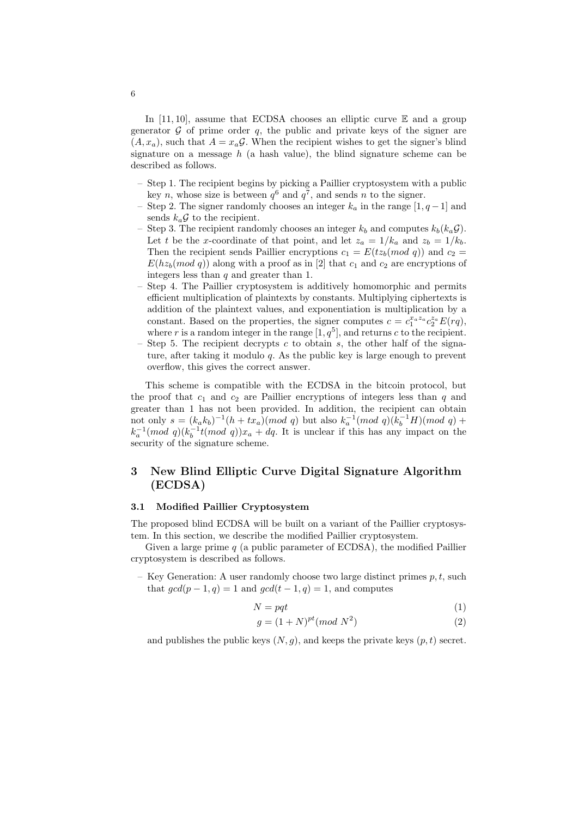In  $[11, 10]$ , assume that ECDSA chooses an elliptic curve  $\mathbb E$  and a group generator  $\mathcal G$  of prime order q, the public and private keys of the signer are  $(A, x_a)$ , such that  $A = x_a \mathcal{G}$ . When the recipient wishes to get the signer's blind signature on a message  $h$  (a hash value), the blind signature scheme can be described as follows.

- Step 1. The recipient begins by picking a Paillier cryptosystem with a public key n, whose size is between  $q^6$  and  $q^7$ , and sends n to the signer.
- Step 2. The signer randomly chooses an integer  $k_a$  in the range  $[1, q-1]$  and sends  $k_a \mathcal{G}$  to the recipient.
- Step 3. The recipient randomly chooses an integer  $k_b$  and computes  $k_b(k_a \mathcal{G})$ . Let t be the x-coordinate of that point, and let  $z_a = 1/k_a$  and  $z_b = 1/k_b$ . Then the recipient sends Paillier encryptions  $c_1 = E(tz_b(mod\ q))$  and  $c_2 =$  $E(hz_b(mod q))$  along with a proof as in [2] that  $c_1$  and  $c_2$  are encryptions of integers less than  $q$  and greater than 1.
- Step 4. The Paillier cryptosystem is additively homomorphic and permits efficient multiplication of plaintexts by constants. Multiplying ciphertexts is addition of the plaintext values, and exponentiation is multiplication by a constant. Based on the properties, the signer computes  $c = c_1^{x_a z_a} c_2^{z_a} E(rq)$ , where r is a random integer in the range  $[1, q<sup>5</sup>]$ , and returns c to the recipient.
- Step 5. The recipient decrypts  $c$  to obtain  $s$ , the other half of the signature, after taking it modulo q. As the public key is large enough to prevent overflow, this gives the correct answer.

This scheme is compatible with the ECDSA in the bitcoin protocol, but the proof that  $c_1$  and  $c_2$  are Paillier encryptions of integers less than q and greater than 1 has not been provided. In addition, the recipient can obtain not only  $s = (k_a k_b)^{-1} (h + tx_a) (mod q)$  but also  $k_a^{-1} (mod q) (k_b^{-1} H) (mod q)$  +  $k_a^{-1} \pmod{q}$   $(k_b^{-1}t \pmod{q}$   $x_a + dq$ . It is unclear if this has any impact on the security of the signature scheme.

# 3 New Blind Elliptic Curve Digital Signature Algorithm (ECDSA)

#### 3.1 Modified Paillier Cryptosystem

The proposed blind ECDSA will be built on a variant of the Paillier cryptosystem. In this section, we describe the modified Paillier cryptosystem.

Given a large prime  $q$  (a public parameter of ECDSA), the modified Paillier cryptosystem is described as follows.

– Key Generation: A user randomly choose two large distinct primes  $p, t$ , such that  $gcd(p-1, q) = 1$  and  $gcd(t-1, q) = 1$ , and computes

$$
N = pqt \tag{1}
$$

$$
g = (1 + N)^{pt} (mod N^2)
$$
 (2)

and publishes the public keys  $(N, q)$ , and keeps the private keys  $(p, t)$  secret.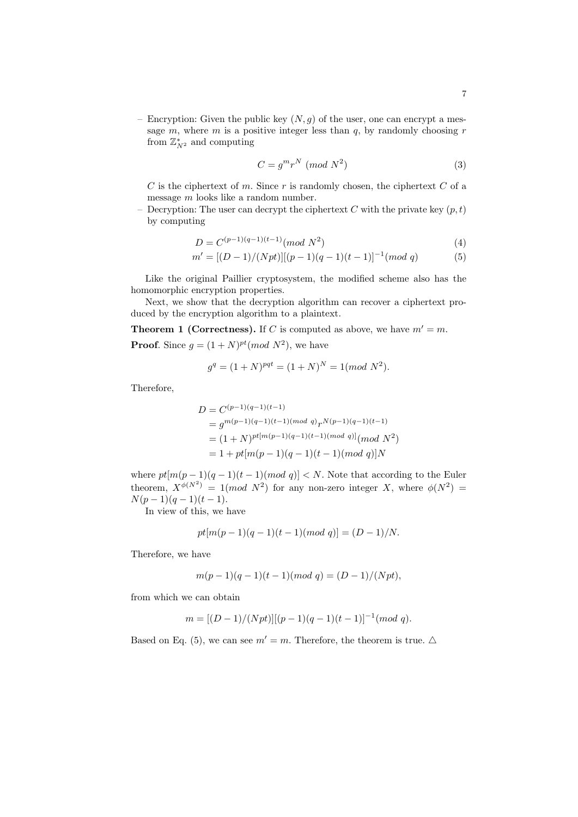– Encryption: Given the public key  $(N, q)$  of the user, one can encrypt a message  $m$ , where  $m$  is a positive integer less than  $q$ , by randomly choosing  $r$ from  $\mathbb{Z}_{N^2}^*$  and computing

$$
C = g^m r^N \pmod{N^2}
$$
 (3)

 $C$  is the ciphertext of  $m$ . Since  $r$  is randomly chosen, the ciphertext  $C$  of a message m looks like a random number.

– Decryption: The user can decrypt the ciphertext C with the private key  $(p, t)$ by computing

$$
D = C^{(p-1)(q-1)(t-1)} \pmod{N^2}
$$
\n<sup>(4)</sup>

$$
m' = [(D-1)/(Npt)][(p-1)(q-1)(t-1)]^{-1} (mod\ q)
$$
 (5)

Like the original Paillier cryptosystem, the modified scheme also has the homomorphic encryption properties.

Next, we show that the decryption algorithm can recover a ciphertext produced by the encryption algorithm to a plaintext.

**Theorem 1 (Correctness).** If C is computed as above, we have  $m' = m$ .

**Proof.** Since  $g = (1 + N)^{pt} (mod N^2)$ , we have

$$
g^q = (1 + N)^{pqt} = (1 + N)^N = 1 \pmod{N^2}.
$$

Therefore,

$$
D = C^{(p-1)(q-1)(t-1)}
$$
  
=  $g^{m(p-1)(q-1)(t-1) (mod\ q)} r^{N(p-1)(q-1)(t-1)}$   
=  $(1+N)^{pt[m(p-1)(q-1)(t-1) (mod\ q)]} (mod\ N^2)$   
=  $1 + pt[m(p-1)(q-1)(t-1)(mod\ q)]N$ 

where  $pt[m(p-1)(q-1)(t-1)(mod q)] < N$ . Note that according to the Euler theorem,  $X^{\phi(N^2)} = 1 \pmod{N^2}$  for any non-zero integer X, where  $\phi(N^2) =$  $N(p-1)(q-1)(t-1).$ 

In view of this, we have

$$
pt[m(p-1)(q-1)(t-1)(mod q)] = (D-1)/N.
$$

Therefore, we have

$$
m(p-1)(q-1)(t-1)(mod\ q) = (D-1)/(Npt),
$$

from which we can obtain

$$
m = [(D-1)/(Npt)][(p-1)(q-1)(t-1)]^{-1} (mod\ q).
$$

Based on Eq. (5), we can see  $m' = m$ . Therefore, the theorem is true.  $\triangle$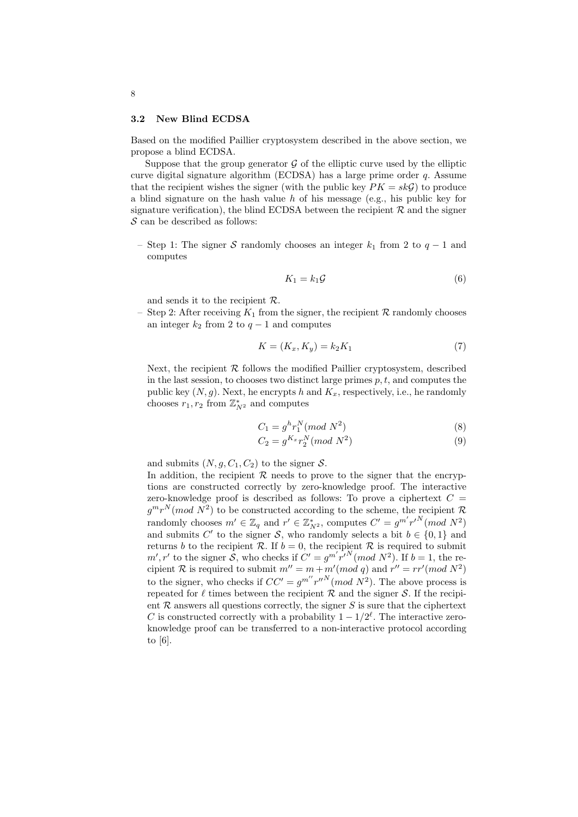#### 3.2 New Blind ECDSA

Based on the modified Paillier cryptosystem described in the above section, we propose a blind ECDSA.

Suppose that the group generator  $\mathcal G$  of the elliptic curve used by the elliptic curve digital signature algorithm (ECDSA) has a large prime order  $q$ . Assume that the recipient wishes the signer (with the public key  $PK = skG$ ) to produce a blind signature on the hash value h of his message (e.g., his public key for signature verification), the blind ECDSA between the recipient  $R$  and the signer  $S$  can be described as follows:

– Step 1: The signer S randomly chooses an integer  $k_1$  from 2 to  $q-1$  and computes

$$
K_1 = k_1 \mathcal{G} \tag{6}
$$

and sends it to the recipient R.

Step 2: After receiving  $K_1$  from the signer, the recipient  $\mathcal R$  randomly chooses an integer  $k_2$  from 2 to  $q-1$  and computes

$$
K = (K_x, K_y) = k_2 K_1 \tag{7}
$$

Next, the recipient  $R$  follows the modified Paillier cryptosystem, described in the last session, to chooses two distinct large primes  $p, t$ , and computes the public key  $(N, g)$ . Next, he encrypts h and  $K_x$ , respectively, i.e., he randomly chooses  $r_1, r_2$  from  $\mathbb{Z}_{N^2}^*$  and computes

$$
C_1 = g^h r_1^N \pmod{N^2}
$$
\n<sup>(8)</sup>

$$
C_2 = g^{K_x} r_2^N \pmod{N^2}
$$
\n<sup>(9)</sup>

and submits  $(N, g, C_1, C_2)$  to the signer S.

In addition, the recipient  $R$  needs to prove to the signer that the encryptions are constructed correctly by zero-knowledge proof. The interactive zero-knowledge proof is described as follows: To prove a ciphertext  $C =$  $g^m r^N (mod N^2)$  to be constructed according to the scheme, the recipient R randomly chooses  $m' \in \mathbb{Z}_q$  and  $r' \in \mathbb{Z}_{N^2}^*$ , computes  $C' = g^{m'} r'^N (mod N^2)$ and submits C' to the signer S, who randomly selects a bit  $b \in \{0,1\}$  and returns b to the recipient  $\mathcal{R}$ . If  $b = 0$ , the recipient  $\mathcal{R}$  is required to submit  $m', r'$  to the signer  $\mathcal{S}$ , who checks if  $C' = g^{m'} r'^N (mod N^2)$ . If  $b = 1$ , the recipient R is required to submit  $m'' = m + m'(mod q)$  and  $r'' = rr'(mod N^2)$ to the signer, who checks if  $CC' = g^{m''} r''^{N} (mod N^2)$ . The above process is repeated for  $\ell$  times between the recipient R and the signer S. If the recipient  $R$  answers all questions correctly, the signer  $S$  is sure that the ciphertext C is constructed correctly with a probability  $1 - 1/2^{\ell}$ . The interactive zeroknowledge proof can be transferred to a non-interactive protocol according to [6].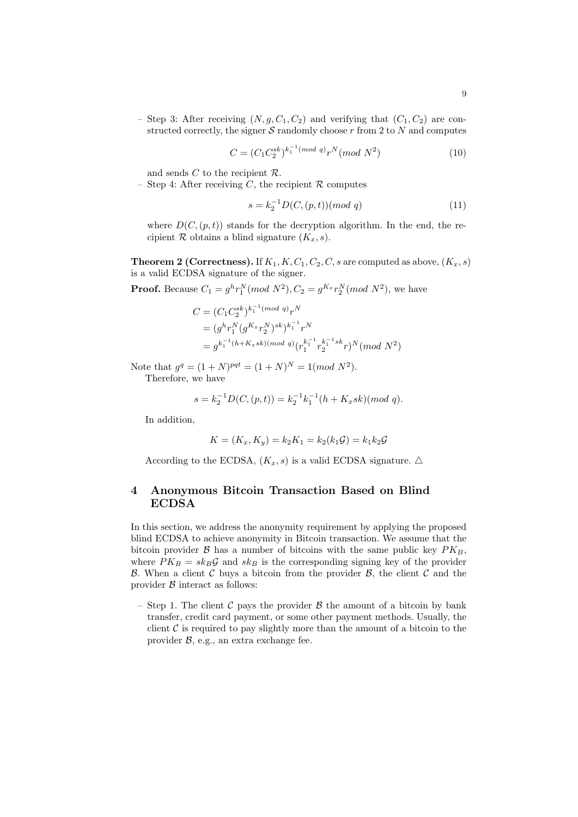– Step 3: After receiving  $(N, g, C_1, C_2)$  and verifying that  $(C_1, C_2)$  are constructed correctly, the signer  $S$  randomly choose r from 2 to N and computes

$$
C = (C_1 C_2^{sk})^{k_1^{-1} (mod\ q)} r^N (mod\ N^2)
$$
\n(10)

and sends  $C$  to the recipient  $\mathcal{R}$ .

– Step 4: After receiving C, the recipient  $\mathcal R$  computes

$$
s = k_2^{-1} D(C, (p, t)) (mod\ q)
$$
 (11)

where  $D(C, (p, t))$  stands for the decryption algorithm. In the end, the recipient  $\mathcal R$  obtains a blind signature  $(K_x, s)$ .

**Theorem 2 (Correctness).** If  $K_1, K, C_1, C_2, C, s$  are computed as above,  $(K_x, s)$ is a valid ECDSA signature of the signer.

**Proof.** Because  $C_1 = g^h r_1^N (mod N^2), C_2 = g^{K_x} r_2^N (mod N^2),$  we have

$$
C = (C_1 C_2^{sk})^{k_1^{-1} (mod\ q)} r^N
$$
  
=  $(g^h r_1^N (g^{K_x} r_2^N)^{sk})^{k_1^{-1}} r^N$   
=  $g^{k_1^{-1} (h + K_x sk) (mod\ q)} (r_1^{k_1^{-1}} r_2^{k_1^{-1} sk} r)^N (mod\ N^2)$ 

Note that  $g^q = (1+N)^{pq} = (1+N)^N = 1 \pmod{N^2}$ .

Therefore, we have

$$
s = k_2^{-1} D(C, (p, t)) = k_2^{-1} k_1^{-1} (h + K_x sk) (mod\ q).
$$

In addition,

$$
K = (K_x, K_y) = k_2 K_1 = k_2 (k_1 \mathcal{G}) = k_1 k_2 \mathcal{G}
$$

According to the ECDSA,  $(K_x, s)$  is a valid ECDSA signature.  $\triangle$ 

# 4 Anonymous Bitcoin Transaction Based on Blind ECDSA

In this section, we address the anonymity requirement by applying the proposed blind ECDSA to achieve anonymity in Bitcoin transaction. We assume that the bitcoin provider  $\beta$  has a number of bitcoins with the same public key  $PK_B$ , where  $PK_B = sk_B\mathcal{G}$  and  $sk_B$  is the corresponding signing key of the provider B. When a client C buys a bitcoin from the provider  $\mathcal{B}$ , the client C and the provider  $\beta$  interact as follows:

– Step 1. The client  $\mathcal C$  pays the provider  $\mathcal B$  the amount of a bitcoin by bank transfer, credit card payment, or some other payment methods. Usually, the client  $\mathcal C$  is required to pay slightly more than the amount of a bitcoin to the provider  $\beta$ , e.g., an extra exchange fee.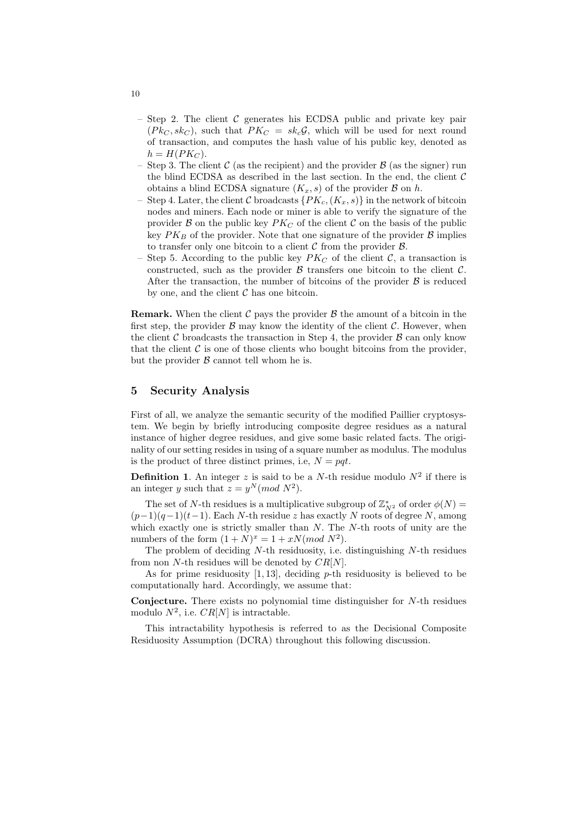- Step 2. The client  $\mathcal C$  generates his ECDSA public and private key pair  $(Pk_C, sk_C)$ , such that  $PK_C = sk_c \mathcal{G}$ , which will be used for next round of transaction, and computes the hash value of his public key, denoted as  $h = H(PK_C).$
- Step 3. The client  $\mathcal C$  (as the recipient) and the provider  $\mathcal B$  (as the signer) run the blind ECDSA as described in the last section. In the end, the client  $\mathcal C$ obtains a blind ECDSA signature  $(K_x, s)$  of the provider  $\beta$  on h.
- Step 4. Later, the client C broadcasts  $\{PK_c,(K_x, s)\}\$ in the network of bitcoin nodes and miners. Each node or miner is able to verify the signature of the provider  $\beta$  on the public key  $PK_C$  of the client  $\mathcal C$  on the basis of the public key  $PK_B$  of the provider. Note that one signature of the provider  $\beta$  implies to transfer only one bitcoin to a client  $\mathcal C$  from the provider  $\mathcal B$ .
- Step 5. According to the public key  $PK_C$  of the client C, a transaction is constructed, such as the provider  $\beta$  transfers one bitcoin to the client  $\beta$ . After the transaction, the number of bitcoins of the provider  $\beta$  is reduced by one, and the client  $\mathcal C$  has one bitcoin.

**Remark.** When the client  $\mathcal{C}$  pays the provider  $\mathcal{B}$  the amount of a bitcoin in the first step, the provider  $\mathcal{B}$  may know the identity of the client  $\mathcal{C}$ . However, when the client C broadcasts the transaction in Step 4, the provider  $\beta$  can only know that the client  $C$  is one of those clients who bought bitcoins from the provider, but the provider  $\beta$  cannot tell whom he is.

### 5 Security Analysis

First of all, we analyze the semantic security of the modified Paillier cryptosystem. We begin by briefly introducing composite degree residues as a natural instance of higher degree residues, and give some basic related facts. The originality of our setting resides in using of a square number as modulus. The modulus is the product of three distinct primes, i.e,  $N = pqt$ .

**Definition 1.** An integer z is said to be a N-th residue modulo  $N^2$  if there is an integer y such that  $z = y^N (mod N^2)$ .

The set of N-th residues is a multiplicative subgroup of  $\mathbb{Z}_{N^2}^*$  of order  $\phi(N)$  =  $(p-1)(q-1)(t-1)$ . Each N-th residue z has exactly N roots of degree N, among which exactly one is strictly smaller than  $N$ . The  $N$ -th roots of unity are the numbers of the form  $(1+N)^x = 1 + xN \pmod{N^2}$ .

The problem of deciding  $N$ -th residuosity, i.e. distinguishing  $N$ -th residues from non N-th residues will be denoted by  $CR[N]$ .

As for prime residuosity  $[1, 13]$ , deciding p-th residuosity is believed to be computationally hard. Accordingly, we assume that:

Conjecture. There exists no polynomial time distinguisher for N-th residues modulo  $N^2$ , i.e.  $CR[N]$  is intractable.

This intractability hypothesis is referred to as the Decisional Composite Residuosity Assumption (DCRA) throughout this following discussion.

10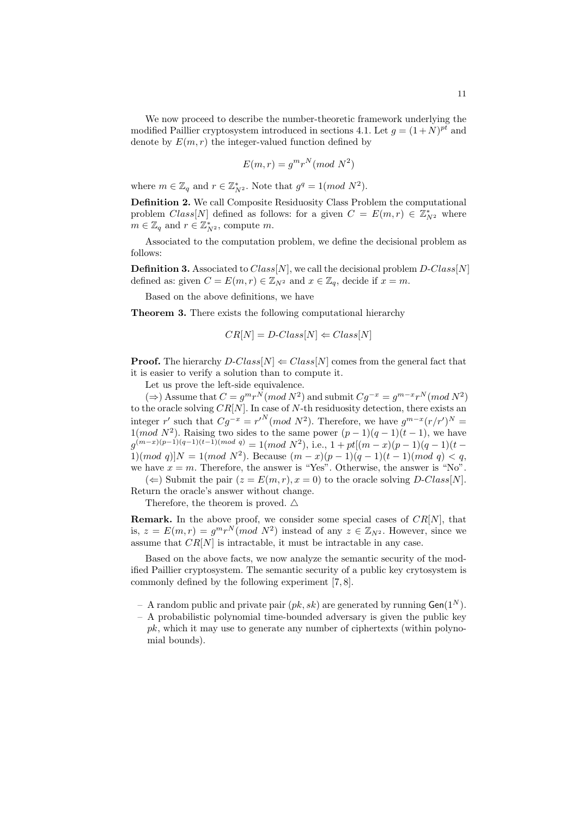$$
E(m,r) = g^m r^N (mod N^2)
$$

where  $m \in \mathbb{Z}_q$  and  $r \in \mathbb{Z}_{N^2}^*$ . Note that  $g^q = 1 \pmod{N^2}$ .

Definition 2. We call Composite Residuosity Class Problem the computational problem  $Class[N]$  defined as follows: for a given  $C = E(m,r) \in \mathbb{Z}_{N^2}^*$  where  $m \in \mathbb{Z}_q$  and  $r \in \mathbb{Z}_{N^2}^*$ , compute m.

Associated to the computation problem, we define the decisional problem as follows:

**Definition 3.** Associated to  $Class[N]$ , we call the decisional problem  $D{\text -}Class[N]$ defined as: given  $C = E(m, r) \in \mathbb{Z}_{N^2}$  and  $x \in \mathbb{Z}_q$ , decide if  $x = m$ .

Based on the above definitions, we have

Theorem 3. There exists the following computational hierarchy

$$
CR[N] = D\text{-}Class[N] \Leftarrow Class[N]
$$

**Proof.** The hierarchy  $D{\text{-}Class}[N] \leftarrow Class[N]$  comes from the general fact that it is easier to verify a solution than to compute it.

Let us prove the left-side equivalence.

(⇒) Assume that  $C = g^m r^N (mod N^2)$  and submit  $Cg^{-x} = g^{m-x} r^N (mod N^2)$ to the oracle solving  $CR[N]$ . In case of N-th residuosity detection, there exists an integer r' such that  $Cg^{-x} = r^N \pmod{N^2}$ . Therefore, we have  $g^{m-x}(r/r)^N =$  $1(mod N^2)$ . Raising two sides to the same power  $(p-1)(q-1)(t-1)$ , we have  $g^{(m-x)(p-1)(q-1)(t-1)(mod q)} = 1 \pmod{N^2}$ , i.e.,  $1 + pt[(m-x)(p-1)(q-1)(t-1)]$  $1 \mid (mod \ q) \mid N = 1 \mid (mod \ N^2)$ . Because  $(m - x)(p - 1)(q - 1)(t - 1) \mid (mod \ q) < q$ , we have  $x = m$ . Therefore, the answer is "Yes". Otherwise, the answer is "No".

 $(\Leftarrow)$  Submit the pair  $(z = E(m, r), x = 0)$  to the oracle solving D-Class[N]. Return the oracle's answer without change.

Therefore, the theorem is proved.  $\triangle$ 

**Remark.** In the above proof, we consider some special cases of  $CR[N]$ , that is,  $z = E(m,r) = g^m r^N (mod N^2)$  instead of any  $z \in \mathbb{Z}_{N^2}$ . However, since we assume that  $CR[N]$  is intractable, it must be intractable in any case.

Based on the above facts, we now analyze the semantic security of the modified Paillier cryptosystem. The semantic security of a public key crytosystem is commonly defined by the following experiment [7, 8].

- A random public and private pair  $(pk, sk)$  are generated by running  $Gen(1^N)$ .
- A probabilistic polynomial time-bounded adversary is given the public key  $pk$ , which it may use to generate any number of ciphertexts (within polynomial bounds).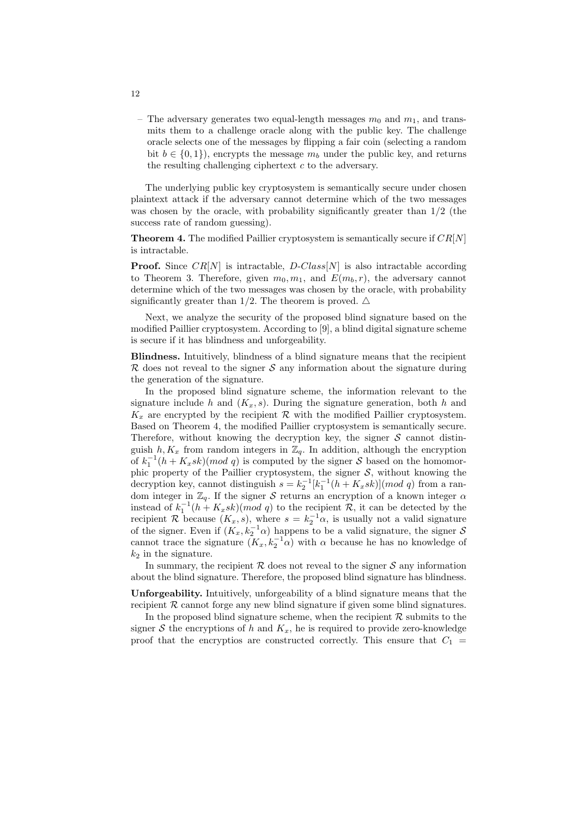The adversary generates two equal-length messages  $m_0$  and  $m_1$ , and transmits them to a challenge oracle along with the public key. The challenge oracle selects one of the messages by flipping a fair coin (selecting a random bit  $b \in \{0,1\}$ , encrypts the message  $m_b$  under the public key, and returns the resulting challenging ciphertext c to the adversary.

The underlying public key cryptosystem is semantically secure under chosen plaintext attack if the adversary cannot determine which of the two messages was chosen by the oracle, with probability significantly greater than 1/2 (the success rate of random guessing).

**Theorem 4.** The modified Paillier cryptosystem is semantically secure if  $CR[N]$ is intractable.

**Proof.** Since  $CR[N]$  is intractable,  $D{\text -}Class[N]$  is also intractable according to Theorem 3. Therefore, given  $m_0, m_1$ , and  $E(m_b, r)$ , the adversary cannot determine which of the two messages was chosen by the oracle, with probability significantly greater than 1/2. The theorem is proved.  $\triangle$ 

Next, we analyze the security of the proposed blind signature based on the modified Paillier cryptosystem. According to [9], a blind digital signature scheme is secure if it has blindness and unforgeability.

Blindness. Intuitively, blindness of a blind signature means that the recipient  $\mathcal R$  does not reveal to the signer  $\mathcal S$  any information about the signature during the generation of the signature.

In the proposed blind signature scheme, the information relevant to the signature include h and  $(K_x, s)$ . During the signature generation, both h and  $K_x$  are encrypted by the recipient  $\mathcal R$  with the modified Paillier cryptosystem. Based on Theorem 4, the modified Paillier cryptosystem is semantically secure. Therefore, without knowing the decryption key, the signer  $S$  cannot distinguish  $h, K_x$  from random integers in  $\mathbb{Z}_q$ . In addition, although the encryption of  $k_1^{-1}(h+K_x sk)(mod\ q)$  is computed by the signer S based on the homomorphic property of the Paillier cryptosystem, the signer  $S$ , without knowing the decryption key, cannot distinguish  $s = k_2^{-1}[k_1^{-1}(h + K_x sk)](mod\ q)$  from a random integer in  $\mathbb{Z}_q$ . If the signer S returns an encryption of a known integer  $\alpha$ instead of  $k_1^{-1}(h + K_x s k)(mod q)$  to the recipient  $\mathcal{R}$ , it can be detected by the recipient R because  $(K_x, s)$ , where  $s = k_2^{-1}\alpha$ , is usually not a valid signature of the signer. Even if  $(K_x, k_2^{-1}\alpha)$  happens to be a valid signature, the signer S cannot trace the signature  $(K_x, k_2^{-1}\alpha)$  with  $\alpha$  because he has no knowledge of  $k_2$  in the signature.

In summary, the recipient  $R$  does not reveal to the signer  $S$  any information about the blind signature. Therefore, the proposed blind signature has blindness.

Unforgeability. Intuitively, unforgeability of a blind signature means that the recipient  $R$  cannot forge any new blind signature if given some blind signatures.

In the proposed blind signature scheme, when the recipient  $R$  submits to the signer S the encryptions of h and  $K_x$ , he is required to provide zero-knowledge proof that the encryptios are constructed correctly. This ensure that  $C_1$  =

12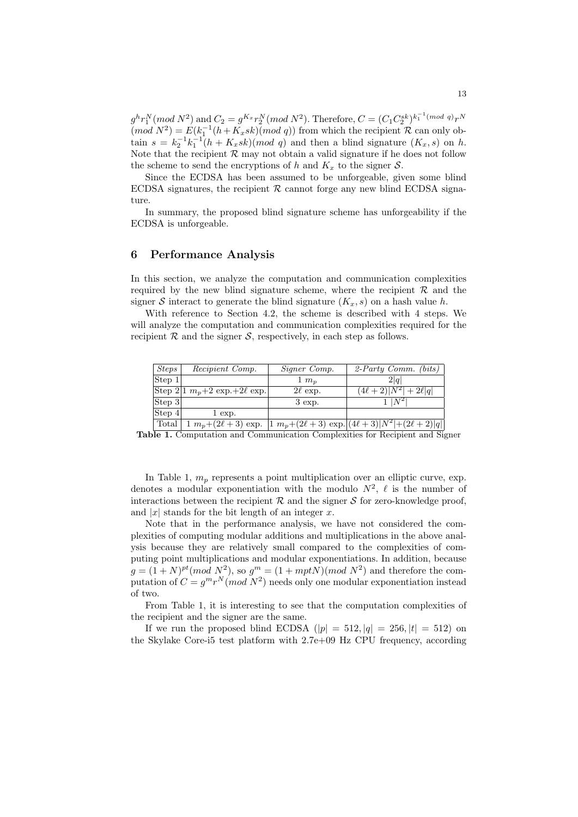$g^h r_1^N (mod N^2)$  and  $C_2 = g^{K_x} r_2^N (mod N^2)$ . Therefore,  $C = (C_1 C_2^{sk})^{k_1^{-1} (mod q)} r^N$  $(mod N^2) = E(k_1^{-1}(h+K_xsk)(mod q))$  from which the recipient  $\mathcal{R}$  can only obtain  $s = k_2^{-1}k_1^{-1}(h + K_x sk)(mod\ q)$  and then a blind signature  $(K_x, s)$  on h. Note that the recipient  $R$  may not obtain a valid signature if he does not follow the scheme to send the encryptions of h and  $K_x$  to the signer S.

Since the ECDSA has been assumed to be unforgeable, given some blind ECDSA signatures, the recipient  $R$  cannot forge any new blind ECDSA signature.

In summary, the proposed blind signature scheme has unforgeability if the ECDSA is unforgeable.

## 6 Performance Analysis

In this section, we analyze the computation and communication complexities required by the new blind signature scheme, where the recipient  $R$  and the signer S interact to generate the blind signature  $(K_x, s)$  on a hash value h.

With reference to Section 4.2, the scheme is described with 4 steps. We will analyze the computation and communication complexities required for the recipient  $\mathcal R$  and the signer  $\mathcal S$ , respectively, in each step as follows.

| Steps                         | Recipient Comp.                        | Signer Comp. | 2- $Party\ Comm.\ (bits)$                                                       |
|-------------------------------|----------------------------------------|--------------|---------------------------------------------------------------------------------|
| $\overline{\text{Step 1}}$    |                                        | $1 m_n$      | 2 q                                                                             |
|                               | Step 2 1 $m_p + 2 \exp + 2\ell \exp$ . | $2\ell$ exp. | $(4\ell+2) N^2 $<br>$+2\ell q $                                                 |
| $\vert$ Step 3 $\vert$        |                                        | $3 \exp.$    | $+N^2$                                                                          |
| $\lvert \text{Step 4} \rvert$ | 1 exp.                                 |              |                                                                                 |
| Total                         | $1 m_p + (2\ell + 3) \exp.$            |              | $1 m_p + (2\ell + 3) \exp\left[\frac{(4\ell + 3)}{N^2}\right] + (2\ell + 2) q $ |

Table 1. Computation and Communication Complexities for Recipient and Signer

In Table 1,  $m_p$  represents a point multiplication over an elliptic curve, exp. denotes a modular exponentiation with the modulo  $N^2$ ,  $\ell$  is the number of interactions between the recipient  $\mathcal R$  and the signer  $\mathcal S$  for zero-knowledge proof, and  $|x|$  stands for the bit length of an integer x.

Note that in the performance analysis, we have not considered the complexities of computing modular additions and multiplications in the above analysis because they are relatively small compared to the complexities of computing point multiplications and modular exponentiations. In addition, because  $g = (1 + N)^{pt} (mod N^2)$ , so  $g^m = (1 + mptN)(mod N^2)$  and therefore the computation of  $C = g^m r^N (mod N^2)$  needs only one modular exponentiation instead of two.

From Table 1, it is interesting to see that the computation complexities of the recipient and the signer are the same.

If we run the proposed blind ECDSA ( $|p| = 512$ ,  $|q| = 256$ ,  $|t| = 512$ ) on the Skylake Core-i5 test platform with 2.7e+09 Hz CPU frequency, according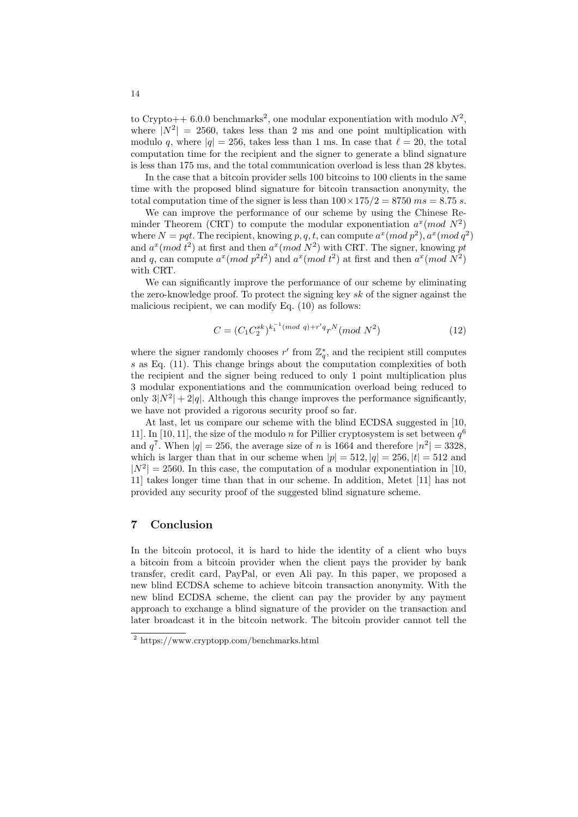to Crypto++ 6.0.0 benchmarks<sup>2</sup>, one modular exponentiation with modulo  $N^2$ , where  $|N^2| = 2560$ , takes less than 2 ms and one point multiplication with modulo q, where  $|q| = 256$ , takes less than 1 ms. In case that  $\ell = 20$ , the total computation time for the recipient and the signer to generate a blind signature is less than 175 ms, and the total communication overload is less than 28 kbytes.

In the case that a bitcoin provider sells 100 bitcoins to 100 clients in the same time with the proposed blind signature for bitcoin transaction anonymity, the total computation time of the signer is less than  $100 \times 175/2 = 8750$  ms = 8.75 s.

We can improve the performance of our scheme by using the Chinese Reminder Theorem (CRT) to compute the modular exponentiation  $a^x (mod N^2)$ where  $N = pqt$ . The recipient, knowing p, q, t, can compute  $a^x (mod p^2)$ ,  $a^x (mod q^2)$ and  $a^x \pmod{t^2}$  at first and then  $a^x \pmod{N^2}$  with CRT. The signer, knowing pt and q, can compute  $a^x \pmod{p^2 t^2}$  and  $a^x \pmod{t^2}$  at first and then  $a^x \pmod{N^2}$ with CRT.

We can significantly improve the performance of our scheme by eliminating the zero-knowledge proof. To protect the signing key sk of the signer against the malicious recipient, we can modify Eq. (10) as follows:

$$
C = (C_1 C_2^{sk})^{k_1^{-1} (mod \ q) + r'q} r^N (mod \ N^2)
$$
\n(12)

where the signer randomly chooses  $r'$  from  $\mathbb{Z}_q^*$ , and the recipient still computes s as Eq. (11). This change brings about the computation complexities of both the recipient and the signer being reduced to only 1 point multiplication plus 3 modular exponentiations and the communication overload being reduced to only  $3|N^2| + 2|q|$ . Although this change improves the performance significantly, we have not provided a rigorous security proof so far.

At last, let us compare our scheme with the blind ECDSA suggested in [10, 11. In [10, 11], the size of the modulo n for Pillier cryptosystem is set between  $q^6$ and  $q^7$ . When  $|q| = 256$ , the average size of n is 1664 and therefore  $|n^2| = 3328$ , which is larger than that in our scheme when  $|p| = 512$ ,  $|q| = 256$ ,  $|t| = 512$  and  $|N^2| = 2560$ . In this case, the computation of a modular exponentiation in [10, 11] takes longer time than that in our scheme. In addition, Metet [11] has not provided any security proof of the suggested blind signature scheme.

# 7 Conclusion

In the bitcoin protocol, it is hard to hide the identity of a client who buys a bitcoin from a bitcoin provider when the client pays the provider by bank transfer, credit card, PayPal, or even Ali pay. In this paper, we proposed a new blind ECDSA scheme to achieve bitcoin transaction anonymity. With the new blind ECDSA scheme, the client can pay the provider by any payment approach to exchange a blind signature of the provider on the transaction and later broadcast it in the bitcoin network. The bitcoin provider cannot tell the

<sup>2</sup> https://www.cryptopp.com/benchmarks.html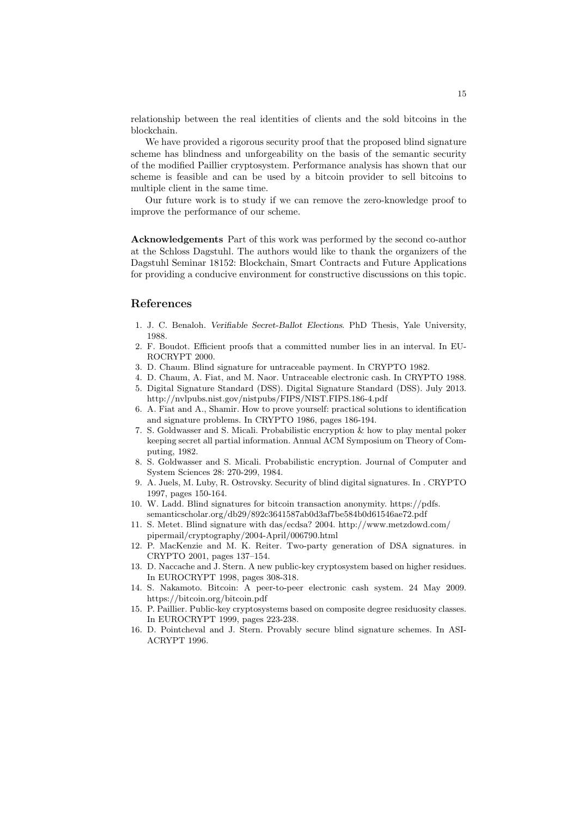relationship between the real identities of clients and the sold bitcoins in the blockchain.

We have provided a rigorous security proof that the proposed blind signature scheme has blindness and unforgeability on the basis of the semantic security of the modified Paillier cryptosystem. Performance analysis has shown that our scheme is feasible and can be used by a bitcoin provider to sell bitcoins to multiple client in the same time.

Our future work is to study if we can remove the zero-knowledge proof to improve the performance of our scheme.

Acknowledgements Part of this work was performed by the second co-author at the Schloss Dagstuhl. The authors would like to thank the organizers of the Dagstuhl Seminar 18152: Blockchain, Smart Contracts and Future Applications for providing a conducive environment for constructive discussions on this topic.

#### References

- 1. J. C. Benaloh. Verifiable Secret-Ballot Elections. PhD Thesis, Yale University, 1988.
- 2. F. Boudot. Efficient proofs that a committed number lies in an interval. In EU-ROCRYPT 2000.
- 3. D. Chaum. Blind signature for untraceable payment. In CRYPTO 1982.
- 4. D. Chaum, A. Fiat, and M. Naor. Untraceable electronic cash. In CRYPTO 1988.
- 5. Digital Signature Standard (DSS). Digital Signature Standard (DSS). July 2013. http://nvlpubs.nist.gov/nistpubs/FIPS/NIST.FIPS.186-4.pdf
- 6. A. Fiat and A., Shamir. How to prove yourself: practical solutions to identification and signature problems. In CRYPTO 1986, pages 186-194.
- 7. S. Goldwasser and S. Micali. Probabilistic encryption & how to play mental poker keeping secret all partial information. Annual ACM Symposium on Theory of Computing, 1982.
- 8. S. Goldwasser and S. Micali. Probabilistic encryption. Journal of Computer and System Sciences 28: 270-299, 1984.
- 9. A. Juels, M. Luby, R. Ostrovsky. Security of blind digital signatures. In . CRYPTO 1997, pages 150-164.
- 10. W. Ladd. Blind signatures for bitcoin transaction anonymity. https://pdfs. semanticscholar.org/db29/892c3641587ab0d3af7be584b0d61546ae72.pdf
- 11. S. Metet. Blind signature with das/ecdsa? 2004. http://www.metzdowd.com/ pipermail/cryptography/2004-April/006790.html
- 12. P. MacKenzie and M. K. Reiter. Two-party generation of DSA signatures. in CRYPTO 2001, pages 137–154.
- 13. D. Naccache and J. Stern. A new public-key cryptosystem based on higher residues. In EUROCRYPT 1998, pages 308-318.
- 14. S. Nakamoto. Bitcoin: A peer-to-peer electronic cash system. 24 May 2009. https://bitcoin.org/bitcoin.pdf
- 15. P. Paillier. Public-key cryptosystems based on composite degree residuosity classes. In EUROCRYPT 1999, pages 223-238.
- 16. D. Pointcheval and J. Stern. Provably secure blind signature schemes. In ASI-ACRYPT 1996.